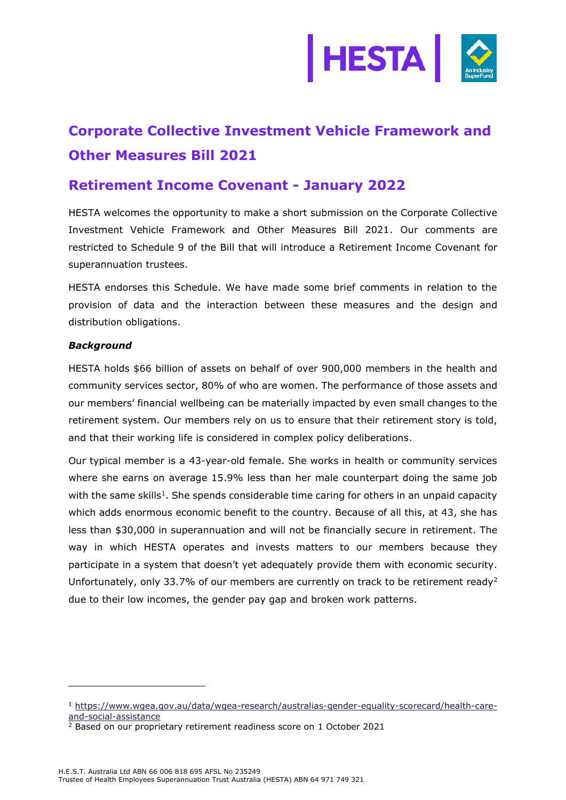

# **Corporate Collective Investment Vehicle Framework and Other Measures Bill 2021**

## **Retirement Income Covenant - January 2022**

HESTA welcomes the opportunity to make a short submission on the Corporate Collective Investment Vehicle Framework and Other Measures Bill 2021. Our comments are restricted to Schedule 9 of the Bill that will introduce a Retirement Income Covenant for superannuation trustees.

HESTA endorses this Schedule. We have made some brief comments in relation to the provision of data and the interaction between these measures and the design and distribution obligations.

### *Background*

HESTA holds \$66 billion of assets on behalf of over 900,000 members in the health and community services sector, 80% of who are women. The performance of those assets and our members' financial wellbeing can be materially impacted by even small changes to the retirement system. Our members rely on us to ensure that their retirement story is told, and that their working life is considered in complex policy deliberations.

Our typical member is a 43-year-old female. She works in health or community services where she earns on average 15.9% less than her male counterpart doing the same job with the same skills<sup>1</sup>. She spends considerable time caring for others in an unpaid capacity which adds enormous economic benefit to the country. Because of all this, at 43, she has less than \$30,000 in superannuation and will not be financially secure in retirement. The way in which HESTA operates and invests matters to our members because they participate in a system that doesn't yet adequately provide them with economic security. Unfortunately, only 33.7% of our members are currently on track to be retirement ready<sup>2</sup> due to their low incomes, the gender pay gap and broken work patterns.

<sup>1</sup> [https://www.wgea.gov.au/data/wgea-research/australias-gender-equality-scorecard/health-care](https://www.wgea.gov.au/data/wgea-research/australias-gender-equality-scorecard/health-care-and-social-assistance)[and-social-assistance](https://www.wgea.gov.au/data/wgea-research/australias-gender-equality-scorecard/health-care-and-social-assistance)

 $\frac{2}{3}$  Based on our proprietary retirement readiness score on 1 October 2021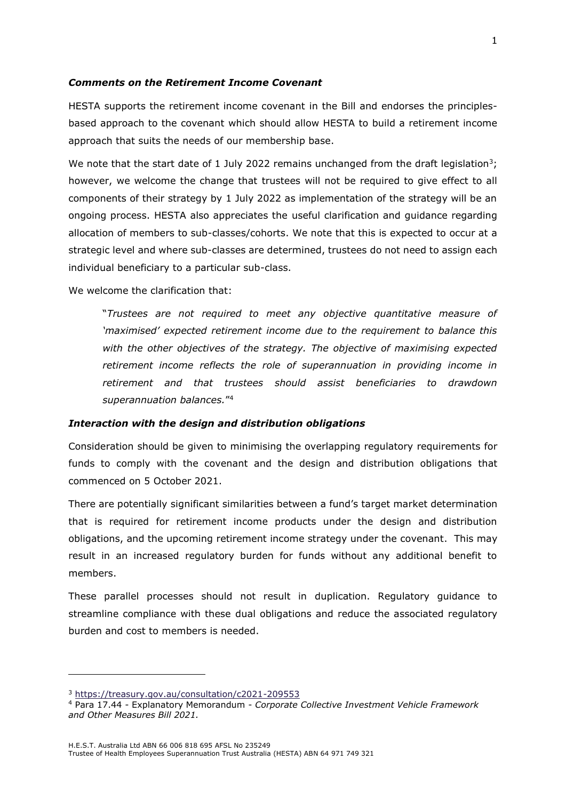#### *Comments on the Retirement Income Covenant*

HESTA supports the retirement income covenant in the Bill and endorses the principlesbased approach to the covenant which should allow HESTA to build a retirement income approach that suits the needs of our membership base.

We note that the start date of 1 July 2022 remains unchanged from the draft legislation<sup>3</sup>; however, we welcome the change that trustees will not be required to give effect to all components of their strategy by 1 July 2022 as implementation of the strategy will be an ongoing process. HESTA also appreciates the useful clarification and guidance regarding allocation of members to sub-classes/cohorts. We note that this is expected to occur at a strategic level and where sub-classes are determined, trustees do not need to assign each individual beneficiary to a particular sub-class.

We welcome the clarification that:

"*Trustees are not required to meet any objective quantitative measure of 'maximised' expected retirement income due to the requirement to balance this with the other objectives of the strategy. The objective of maximising expected retirement income reflects the role of superannuation in providing income in retirement and that trustees should assist beneficiaries to drawdown superannuation balances.*" 4

#### *Interaction with the design and distribution obligations*

Consideration should be given to minimising the overlapping regulatory requirements for funds to comply with the covenant and the design and distribution obligations that commenced on 5 October 2021.

There are potentially significant similarities between a fund's target market determination that is required for retirement income products under the design and distribution obligations, and the upcoming retirement income strategy under the covenant. This may result in an increased regulatory burden for funds without any additional benefit to members.

These parallel processes should not result in duplication. Regulatory guidance to streamline compliance with these dual obligations and reduce the associated regulatory burden and cost to members is needed.

<sup>3</sup> <https://treasury.gov.au/consultation/c2021-209553>

<sup>4</sup> Para 17.44 - Explanatory Memorandum - *Corporate Collective Investment Vehicle Framework and Other Measures Bill 2021.*